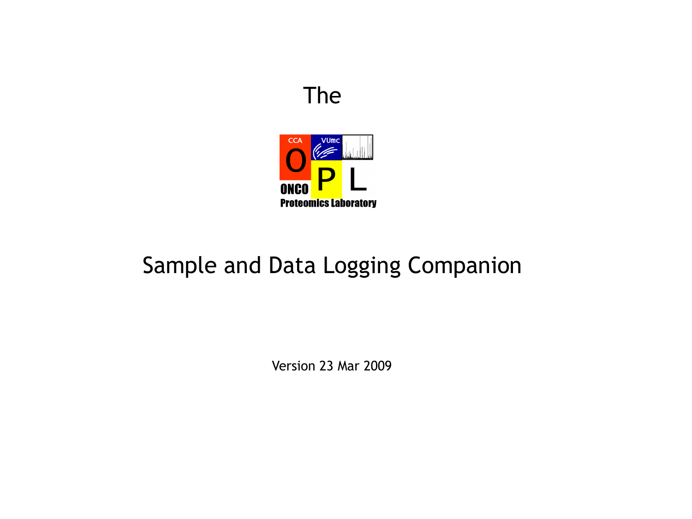#### The



# Sample and Data Logging Companion

Version 23 Mar 2009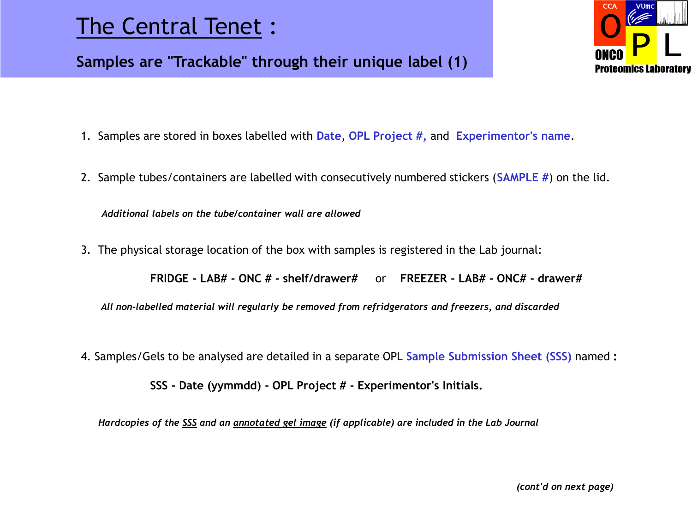## The Central Tenet :

#### **Samples are "Trackable" through their unique label (1)**



- 1. Samples are stored in boxes labelled with **Date**, **OPL Project #,** and **Experimentor's name**.
- 2. Sample tubes/containers are labelled with consecutively numbered stickers (**SAMPLE #**) on the lid.

*Additional labels on the tube/container wall are allowed*

3. The physical storage location of the box with samples is registered in the Lab journal:

**FRIDGE - LAB# - ONC # - shelf/drawer#** or **FREEZER - LAB# - ONC# - drawer#**

 *All non-labelled material will regularly be removed from refridgerators and freezers, and discarded*

4. Samples/Gels to be analysed are detailed in a separate OPL **Sample Submission Sheet (SSS)** named **:**

**SSS - Date (yymmdd) - OPL Project # - Experimentor's Initials.**

*Hardcopies of the SSS and an annotated gel image (if applicable) are included in the Lab Journal*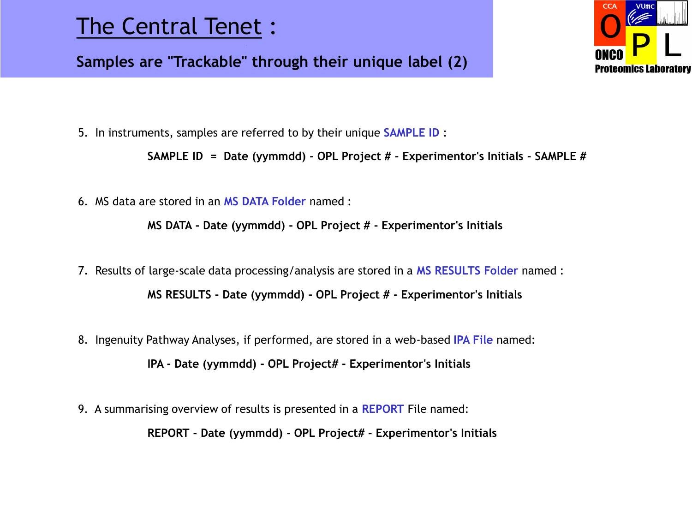## The Central Tenet :

 **Samples are "Trackable" through their unique label (2)**



5. In instruments, samples are referred to by their unique **SAMPLE ID** :

**SAMPLE ID = Date (yymmdd) - OPL Project # - Experimentor's Initials - SAMPLE #**

6. MS data are stored in an **MS DATA Folder** named :

**MS DATA - Date (yymmdd) - OPL Project # - Experimentor's Initials**

- 7. Results of large-scale data processing/analysis are stored in a **MS RESULTS Folder** named : **MS RESULTS - Date (yymmdd) - OPL Project # - Experimentor's Initials**
- 8. Ingenuity Pathway Analyses, if performed, are stored in a web-based **IPA File** named: **IPA - Date (yymmdd) - OPL Project# - Experimentor's Initials**
- 9. A summarising overview of results is presented in a **REPORT** File named:

**REPORT - Date (yymmdd) - OPL Project# - Experimentor's Initials**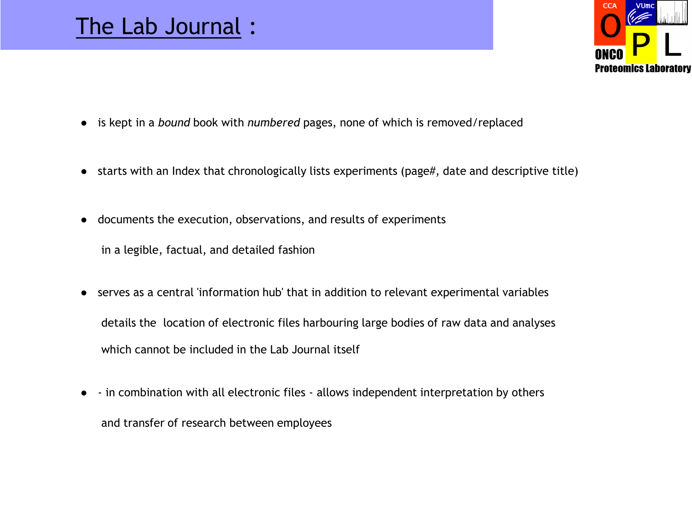#### The Lab Journal :



- is kept in a *bound* book with *numbered* pages, none of which is removed/replaced
- starts with an Index that chronologically lists experiments (page#, date and descriptive title)
- documents the execution, observations, and results of experiments

in a legible, factual, and detailed fashion

- serves as a central 'information hub' that in addition to relevant experimental variables details the location of electronic files harbouring large bodies of raw data and analyses which cannot be included in the Lab Journal itself
- - in combination with all electronic files allows independent interpretation by others and transfer of research between employees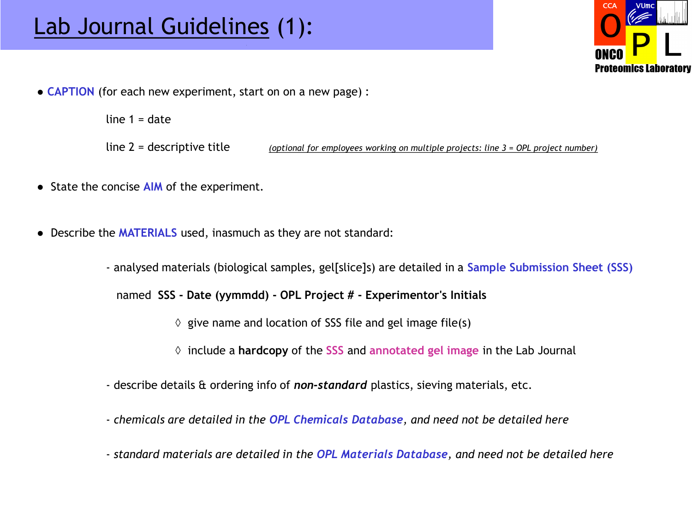

• **CAPTION** (for each new experiment, start on on a new page) :

line  $1 =$  date

line 2 = descriptive title *(optional for employees working on multiple projects: line 3 = OPL project number)*

- State the concise **AIM** of the experiment.
- Describe the **MATERIALS** used, inasmuch as they are not standard:
	- analysed materials (biological samples, gel[slice]s) are detailed in a **Sample Submission Sheet (SSS)**

named **SSS - Date (yymmdd) - OPL Project # - Experimentor's Initials**

- $\Diamond$  give name and location of SSS file and gel image file(s)
- ◊ include a **hardcopy** of the **SSS** and **annotated gel image** in the Lab Journal
- describe details & ordering info of *non-standard* plastics, sieving materials, etc.
- *chemicals are detailed in the OPL Chemicals Database, and need not be detailed here*
- *standard materials are detailed in the OPL Materials Database, and need not be detailed here*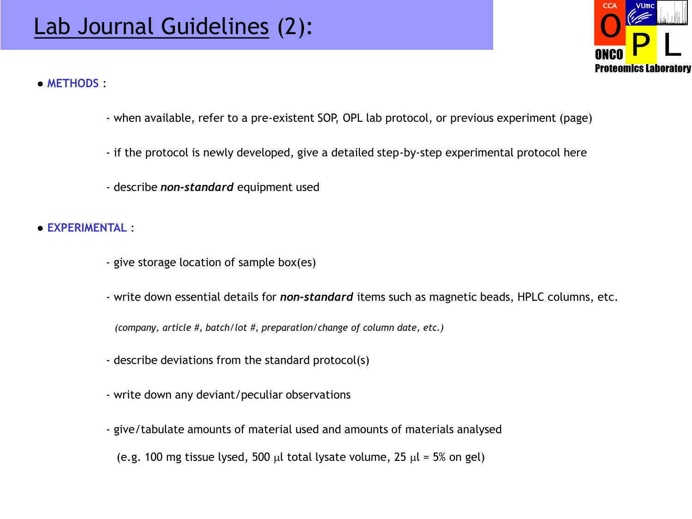

● **METHODS** :

- when available, refer to a pre-existent SOP, OPL lab protocol, or previous experiment (page)
- if the protocol is newly developed, give a detailed step-by-step experimental protocol here
- describe *non-standard* equipment used

● **EXPERIMENTAL** :

- give storage location of sample box(es)
- write down essential details for *non-standard* items such as magnetic beads, HPLC columns, etc.

 *(company, article #, batch/lot #, preparation/change of column date, etc.)*

- describe deviations from the standard protocol(s)
- write down any deviant/peculiar observations
- give/tabulate amounts of material used and amounts of materials analysed
	- (e.g. 100 mg tissue lysed, 500 µl total lysate volume, 25  $\mu$ l = 5% on gel)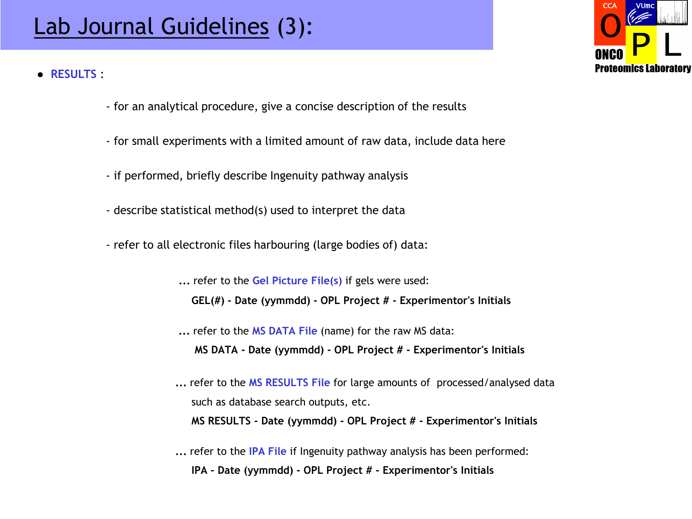# Lab Journal Guidelines (3):

● **RESULTS** :



- for an analytical procedure, give a concise description of the results
- for small experiments with a limited amount of raw data, include data here
- if performed, briefly describe Ingenuity pathway analysis
- describe statistical method(s) used to interpret the data
- refer to all electronic files harbouring (large bodies of) data:

 **...** refer to the **Gel Picture File(s)** if gels were used: **GEL(#) - Date (yymmdd) - OPL Project # - Experimentor's Initials**

- **...** refer to the **MS DATA File** (name) for the raw MS data:  **MS DATA - Date (yymmdd) - OPL Project # - Experimentor's Initials**
- **...** refer to the **MS RESULTS File** for large amounts of processed/analysed data such as database search outputs, etc. **MS RESULTS - Date (yymmdd) - OPL Project # - Experimentor's Initials**
- **...** refer to the **IPA File** if Ingenuity pathway analysis has been performed: **IPA - Date (yymmdd) - OPL Project # - Experimentor's Initials**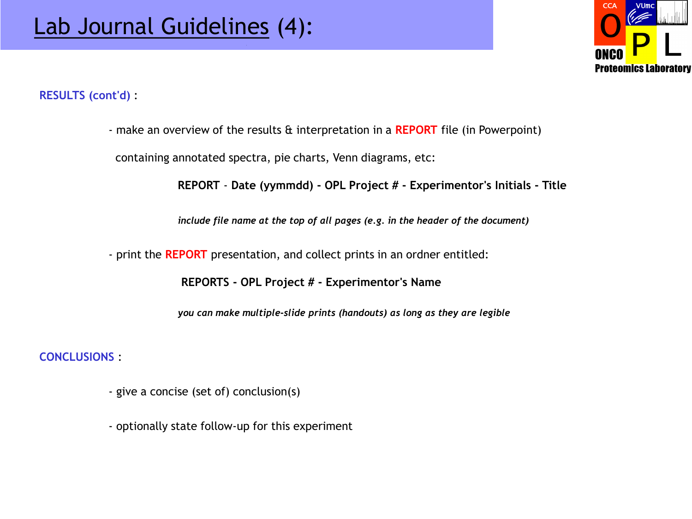

**RESULTS (cont'd)** :

- make an overview of the results & interpretation in a **REPORT** file (in Powerpoint)

containing annotated spectra, pie charts, Venn diagrams, etc:

**REPORT** - **Date (yymmdd) - OPL Project # - Experimentor's Initials - Title**

*include file name at the top of all pages (e.g. in the header of the document)*

- print the **REPORT** presentation, and collect prints in an ordner entitled:

**REPORTS - OPL Project # - Experimentor's Name**

*you can make multiple-slide prints (handouts) as long as they are legible*

**CONCLUSIONS** :

- give a concise (set of) conclusion(s)
- optionally state follow-up for this experiment